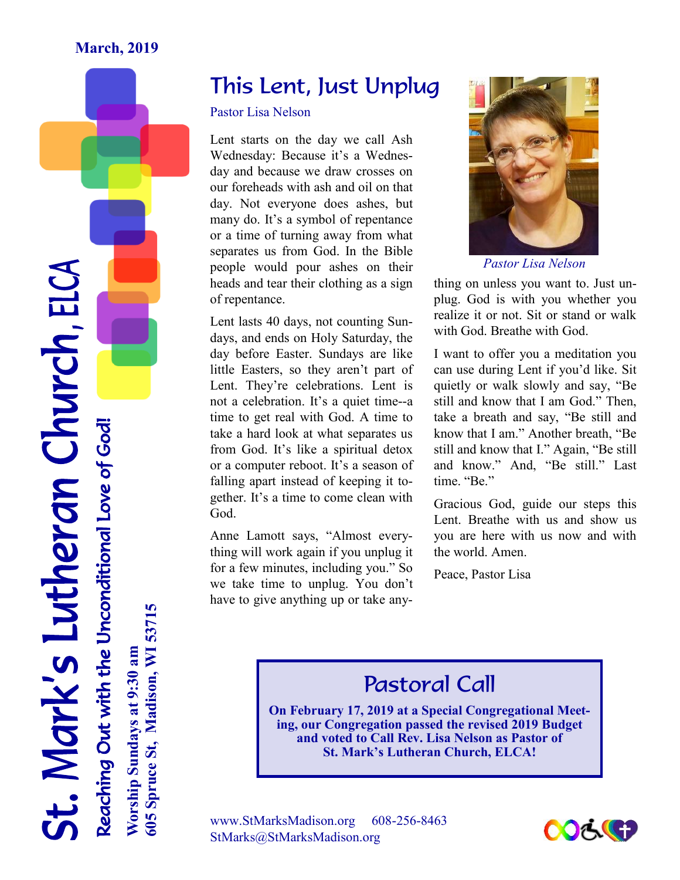#### **March, 2019**

### This Lent, Just Unplug

#### Pastor Lisa Nelson

Lent starts on the day we call Ash Wednesday: Because it's a Wednesday and because we draw crosses on our foreheads with ash and oil on that day. Not everyone does ashes, but many do. It's a symbol of repentance or a time of turning away from what separates us from God. In the Bible people would pour ashes on their heads and tear their clothing as a sign of repentance.

Lent lasts 40 days, not counting Sundays, and ends on Holy Saturday, the day before Easter. Sundays are like little Easters, so they aren't part of Lent. They're celebrations. Lent is not a celebration. It's a quiet time--a time to get real with God. A time to take a hard look at what separates us from God. It's like a spiritual detox or a computer reboot. It's a season of falling apart instead of keeping it together. It's a time to come clean with God.

Anne Lamott says, "Almost everything will work again if you unplug it for a few minutes, including you." So we take time to unplug. You don't have to give anything up or take any-



*Pastor Lisa Nelson* 

thing on unless you want to. Just unplug. God is with you whether you realize it or not. Sit or stand or walk with God. Breathe with God.

I want to offer you a meditation you can use during Lent if you'd like. Sit quietly or walk slowly and say, "Be still and know that I am God." Then, take a breath and say, "Be still and know that I am." Another breath, "Be still and know that I." Again, "Be still and know." And, "Be still." Last time. "Be."

Gracious God, guide our steps this Lent. Breathe with us and show us you are here with us now and with the world. Amen.

Peace, Pastor Lisa

### Pastoral Call

**On February 17, 2019 at a Special Congregational Meeting, our Congregation passed the revised 2019 Budget and voted to Call Rev. Lisa Nelson as Pastor of St. Mark's Lutheran Church, ELCA!**



St. Mark's Lutheran Church, ELCA Reaching Out with the Unconditional Love of God! **Worship Sundays at 9:30 am** Reaching Out with the Unconditional Love of God!

**605 Spruce St, Madison, WI 53715**

605 Spruce St, Madison, WI 53715

Worship Sundays at 9:30 am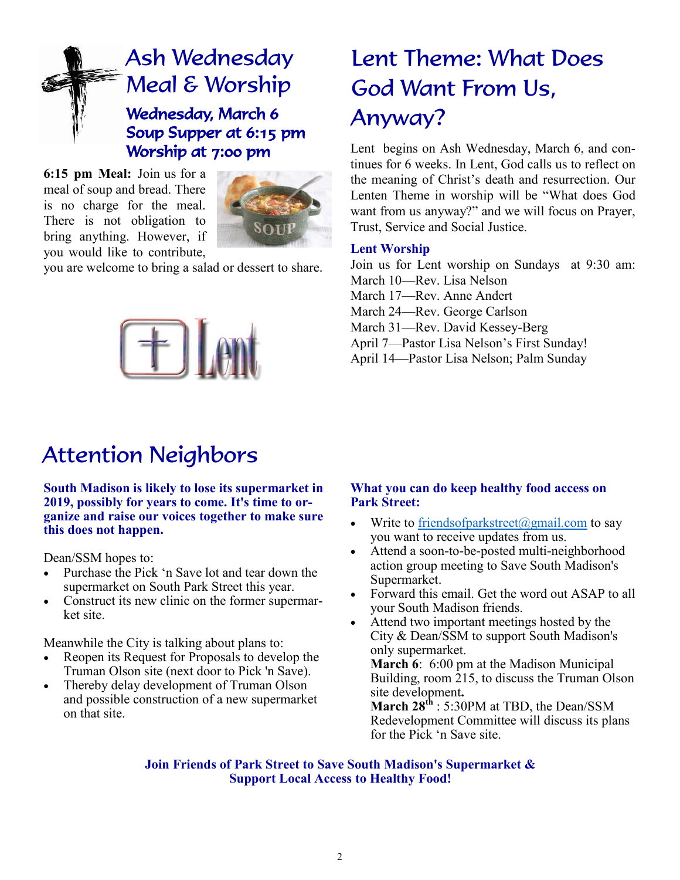# Ash Wednesday Meal & Worship

Wednesday, March 6 Soup Supper at 6:15 pm Worship at 7:00 pm

**6:15 pm Meal:** Join us for a meal of soup and bread. There is no charge for the meal. There is not obligation to bring anything. However, if you would like to contribute,



you are welcome to bring a salad or dessert to share.



# Lent Theme: What Does God Want From Us, Anyway?

Lent begins on Ash Wednesday, March 6, and continues for 6 weeks. In Lent, God calls us to reflect on the meaning of Christ's death and resurrection. Our Lenten Theme in worship will be "What does God want from us anyway?" and we will focus on Prayer, Trust, Service and Social Justice.

#### **Lent Worship**

Join us for Lent worship on Sundays at 9:30 am: March 10—Rev. Lisa Nelson March 17—Rev. Anne Andert March 24—Rev. George Carlson March 31—Rev. David Kessey-Berg April 7—Pastor Lisa Nelson's First Sunday! April 14—Pastor Lisa Nelson; Palm Sunday

### Attention Neighbors

#### **South Madison is likely to lose its supermarket in 2019, possibly for years to come. It's time to organize and raise our voices together to make sure this does not happen.**

Dean/SSM hopes to:

- Purchase the Pick 'n Save lot and tear down the supermarket on South Park Street this year.
- Construct its new clinic on the former supermarket site.

Meanwhile the City is talking about plans to:

- Reopen its Request for Proposals to develop the Truman Olson site (next door to Pick 'n Save).
- Thereby delay development of Truman Olson and possible construction of a new supermarket on that site.

#### **What you can do keep healthy food access on Park Street:**

- Write to  $friendsofparkstreet@gmail.com$  to say</u> you want to receive updates from us.
- Attend a soon-to-be-posted multi-neighborhood action group meeting to Save South Madison's Supermarket.
- Forward this email. Get the word out ASAP to all your South Madison friends.
- Attend two important meetings hosted by the City & Dean/SSM to support South Madison's only supermarket. **March 6**: 6:00 pm at the Madison Municipal

Building, room 215, to discuss the Truman Olson site development**.**

**March 28th** : 5:30PM at TBD, the Dean/SSM Redevelopment Committee will discuss its plans for the Pick 'n Save site.

**Join Friends of Park Street to Save South Madison's Supermarket & Support Local Access to Healthy Food!**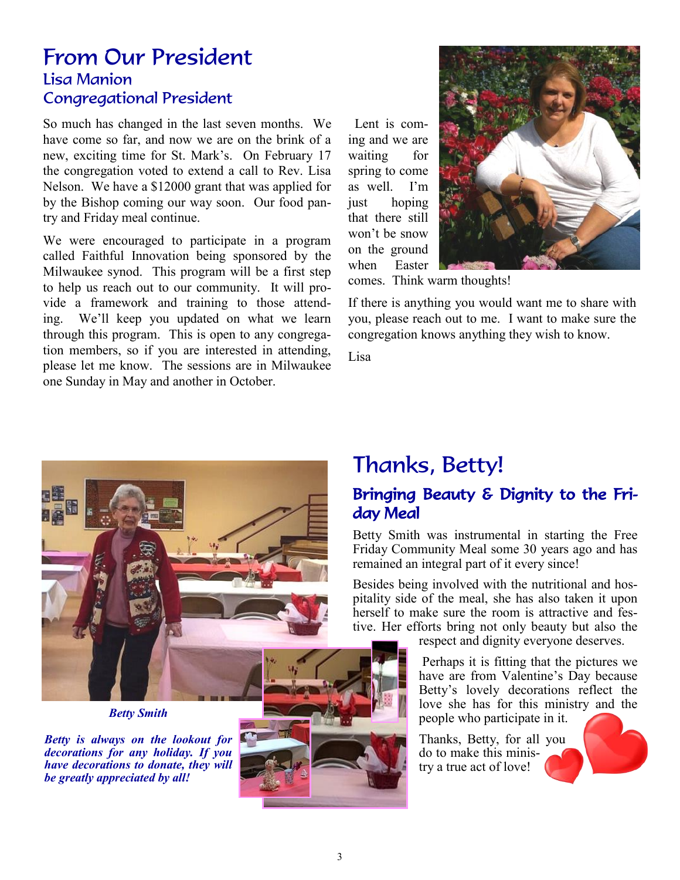#### From Our President Lisa Manion Congregational President

So much has changed in the last seven months. We have come so far, and now we are on the brink of a new, exciting time for St. Mark's. On February 17 the congregation voted to extend a call to Rev. Lisa Nelson. We have a \$12000 grant that was applied for by the Bishop coming our way soon. Our food pantry and Friday meal continue.

We were encouraged to participate in a program called Faithful Innovation being sponsored by the Milwaukee synod. This program will be a first step to help us reach out to our community. It will provide a framework and training to those attending. We'll keep you updated on what we learn through this program. This is open to any congregation members, so if you are interested in attending, please let me know. The sessions are in Milwaukee one Sunday in May and another in October.

Lent is coming and we are waiting for spring to come as well. I'm just hoping that there still won't be snow on the ground when Easter



comes. Think warm thoughts!

If there is anything you would want me to share with you, please reach out to me. I want to make sure the congregation knows anything they wish to know.

Lisa



*Betty Smith*

*Betty is always on the lookout for decorations for any holiday. If you have decorations to donate, they will be greatly appreciated by all!*



### Thanks, Betty!

#### Bringing Beauty & Dignity to the Friday Meal

Betty Smith was instrumental in starting the Free Friday Community Meal some 30 years ago and has remained an integral part of it every since!

Besides being involved with the nutritional and hospitality side of the meal, she has also taken it upon herself to make sure the room is attractive and festive. Her efforts bring not only beauty but also the

respect and dignity everyone deserves.

Perhaps it is fitting that the pictures we have are from Valentine's Day because Betty's lovely decorations reflect the love she has for this ministry and the people who participate in it.

Thanks, Betty, for all you do to make this ministry a true act of love!